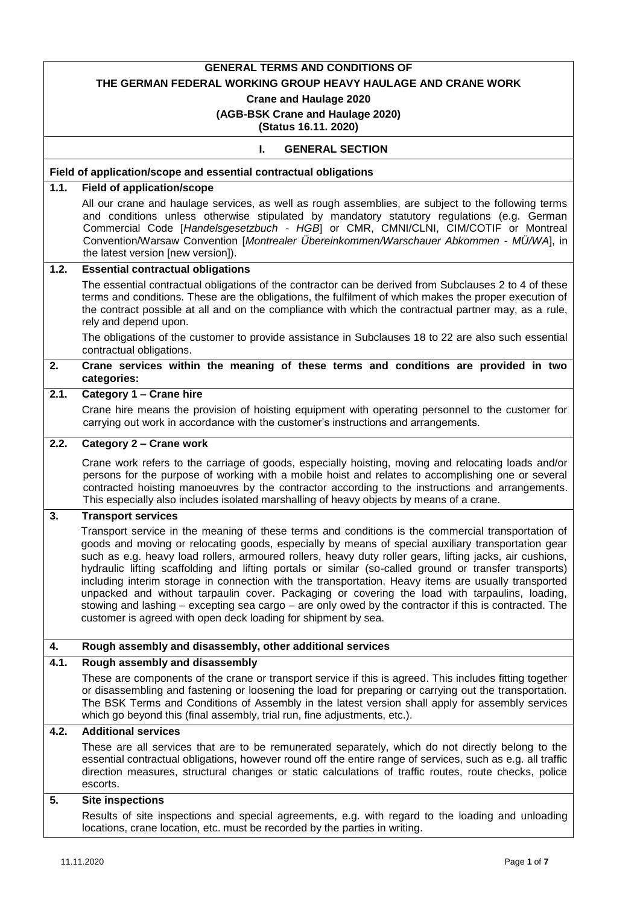|                    | <b>GENERAL TERMS AND CONDITIONS OF</b>                                                                                                                                                                                                                                                                                                                                                                                                                                                                                                                                                                                                                                                                                                                                                                               |
|--------------------|----------------------------------------------------------------------------------------------------------------------------------------------------------------------------------------------------------------------------------------------------------------------------------------------------------------------------------------------------------------------------------------------------------------------------------------------------------------------------------------------------------------------------------------------------------------------------------------------------------------------------------------------------------------------------------------------------------------------------------------------------------------------------------------------------------------------|
|                    | THE GERMAN FEDERAL WORKING GROUP HEAVY HAULAGE AND CRANE WORK                                                                                                                                                                                                                                                                                                                                                                                                                                                                                                                                                                                                                                                                                                                                                        |
|                    | <b>Crane and Haulage 2020</b>                                                                                                                                                                                                                                                                                                                                                                                                                                                                                                                                                                                                                                                                                                                                                                                        |
|                    | (AGB-BSK Crane and Haulage 2020)<br>(Status 16.11. 2020)                                                                                                                                                                                                                                                                                                                                                                                                                                                                                                                                                                                                                                                                                                                                                             |
|                    | <b>GENERAL SECTION</b><br>ı.                                                                                                                                                                                                                                                                                                                                                                                                                                                                                                                                                                                                                                                                                                                                                                                         |
|                    |                                                                                                                                                                                                                                                                                                                                                                                                                                                                                                                                                                                                                                                                                                                                                                                                                      |
|                    | Field of application/scope and essential contractual obligations                                                                                                                                                                                                                                                                                                                                                                                                                                                                                                                                                                                                                                                                                                                                                     |
| $\overline{1.1}$ . | <b>Field of application/scope</b>                                                                                                                                                                                                                                                                                                                                                                                                                                                                                                                                                                                                                                                                                                                                                                                    |
|                    | All our crane and haulage services, as well as rough assemblies, are subject to the following terms<br>and conditions unless otherwise stipulated by mandatory statutory regulations (e.g. German                                                                                                                                                                                                                                                                                                                                                                                                                                                                                                                                                                                                                    |
|                    | Commercial Code [Handelsgesetzbuch - HGB] or CMR, CMNI/CLNI, CIM/COTIF or Montreal                                                                                                                                                                                                                                                                                                                                                                                                                                                                                                                                                                                                                                                                                                                                   |
|                    | Convention/Warsaw Convention [Montrealer Übereinkommen/Warschauer Abkommen - MÜ/WA], in<br>the latest version [new version]).                                                                                                                                                                                                                                                                                                                                                                                                                                                                                                                                                                                                                                                                                        |
| 1.2.               | <b>Essential contractual obligations</b>                                                                                                                                                                                                                                                                                                                                                                                                                                                                                                                                                                                                                                                                                                                                                                             |
|                    | The essential contractual obligations of the contractor can be derived from Subclauses 2 to 4 of these                                                                                                                                                                                                                                                                                                                                                                                                                                                                                                                                                                                                                                                                                                               |
|                    | terms and conditions. These are the obligations, the fulfilment of which makes the proper execution of                                                                                                                                                                                                                                                                                                                                                                                                                                                                                                                                                                                                                                                                                                               |
|                    | the contract possible at all and on the compliance with which the contractual partner may, as a rule,                                                                                                                                                                                                                                                                                                                                                                                                                                                                                                                                                                                                                                                                                                                |
|                    | rely and depend upon.<br>The obligations of the customer to provide assistance in Subclauses 18 to 22 are also such essential                                                                                                                                                                                                                                                                                                                                                                                                                                                                                                                                                                                                                                                                                        |
|                    | contractual obligations.                                                                                                                                                                                                                                                                                                                                                                                                                                                                                                                                                                                                                                                                                                                                                                                             |
| 2.                 | Crane services within the meaning of these terms and conditions are provided in two<br>categories:                                                                                                                                                                                                                                                                                                                                                                                                                                                                                                                                                                                                                                                                                                                   |
| 2.1.               | Category 1 - Crane hire                                                                                                                                                                                                                                                                                                                                                                                                                                                                                                                                                                                                                                                                                                                                                                                              |
|                    | Crane hire means the provision of hoisting equipment with operating personnel to the customer for<br>carrying out work in accordance with the customer's instructions and arrangements.                                                                                                                                                                                                                                                                                                                                                                                                                                                                                                                                                                                                                              |
| 2.2.               | Category 2 - Crane work                                                                                                                                                                                                                                                                                                                                                                                                                                                                                                                                                                                                                                                                                                                                                                                              |
|                    | Crane work refers to the carriage of goods, especially hoisting, moving and relocating loads and/or<br>persons for the purpose of working with a mobile hoist and relates to accomplishing one or several<br>contracted hoisting manoeuvres by the contractor according to the instructions and arrangements.<br>This especially also includes isolated marshalling of heavy objects by means of a crane.                                                                                                                                                                                                                                                                                                                                                                                                            |
| 3.                 | <b>Transport services</b>                                                                                                                                                                                                                                                                                                                                                                                                                                                                                                                                                                                                                                                                                                                                                                                            |
|                    | Transport service in the meaning of these terms and conditions is the commercial transportation of<br>goods and moving or relocating goods, especially by means of special auxiliary transportation gear<br>such as e.g. heavy load rollers, armoured rollers, heavy duty roller gears, lifting jacks, air cushions,<br>hydraulic lifting scaffolding and lifting portals or similar (so-called ground or transfer transports)<br>including interim storage in connection with the transportation. Heavy items are usually transported<br>unpacked and without tarpaulin cover. Packaging or covering the load with tarpaulins, loading,<br>stowing and lashing – excepting sea cargo – are only owed by the contractor if this is contracted. The<br>customer is agreed with open deck loading for shipment by sea. |
| 4.                 | Rough assembly and disassembly, other additional services                                                                                                                                                                                                                                                                                                                                                                                                                                                                                                                                                                                                                                                                                                                                                            |
| 4.1.               | Rough assembly and disassembly                                                                                                                                                                                                                                                                                                                                                                                                                                                                                                                                                                                                                                                                                                                                                                                       |
|                    | These are components of the crane or transport service if this is agreed. This includes fitting together<br>or disassembling and fastening or loosening the load for preparing or carrying out the transportation.<br>The BSK Terms and Conditions of Assembly in the latest version shall apply for assembly services<br>which go beyond this (final assembly, trial run, fine adjustments, etc.).                                                                                                                                                                                                                                                                                                                                                                                                                  |
| 4.2.               | <b>Additional services</b>                                                                                                                                                                                                                                                                                                                                                                                                                                                                                                                                                                                                                                                                                                                                                                                           |
|                    | These are all services that are to be remunerated separately, which do not directly belong to the<br>essential contractual obligations, however round off the entire range of services, such as e.g. all traffic<br>direction measures, structural changes or static calculations of traffic routes, route checks, police<br>escorts.                                                                                                                                                                                                                                                                                                                                                                                                                                                                                |
| 5.                 | <b>Site inspections</b>                                                                                                                                                                                                                                                                                                                                                                                                                                                                                                                                                                                                                                                                                                                                                                                              |
|                    | Results of site inspections and special agreements, e.g. with regard to the loading and unloading<br>locations, crane location, etc. must be recorded by the parties in writing.                                                                                                                                                                                                                                                                                                                                                                                                                                                                                                                                                                                                                                     |

Π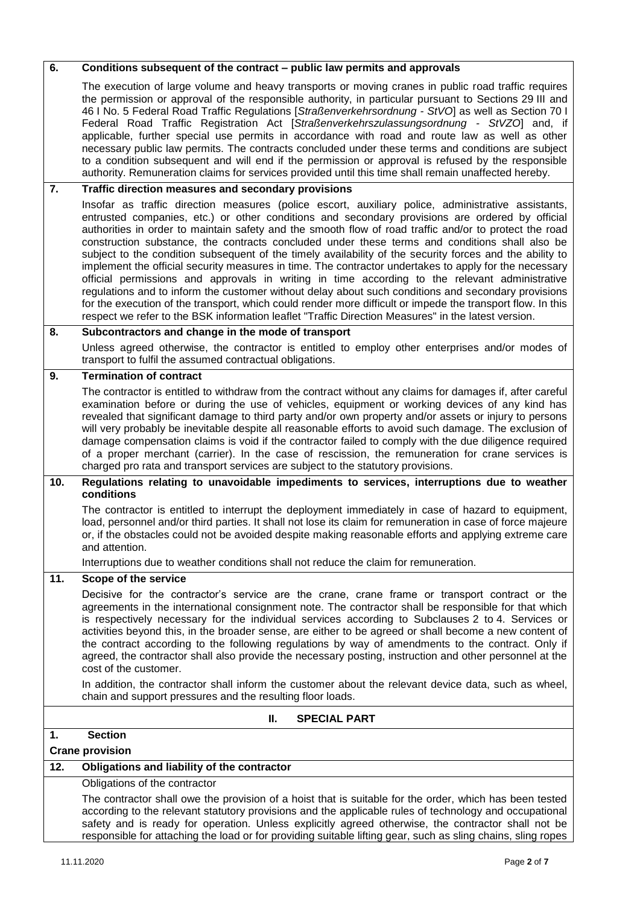| 6.  | Conditions subsequent of the contract – public law permits and approvals                                                                                                                                                                                                                                                                                                                                                                                                                                                                                                                                                                                                                                                                                                                                                                                                                                                                                                                                                                                                                                                     |
|-----|------------------------------------------------------------------------------------------------------------------------------------------------------------------------------------------------------------------------------------------------------------------------------------------------------------------------------------------------------------------------------------------------------------------------------------------------------------------------------------------------------------------------------------------------------------------------------------------------------------------------------------------------------------------------------------------------------------------------------------------------------------------------------------------------------------------------------------------------------------------------------------------------------------------------------------------------------------------------------------------------------------------------------------------------------------------------------------------------------------------------------|
|     | The execution of large volume and heavy transports or moving cranes in public road traffic requires<br>the permission or approval of the responsible authority, in particular pursuant to Sections 29 III and<br>46 I No. 5 Federal Road Traffic Regulations [Straßenverkehrsordnung - StVO] as well as Section 70 I<br>Federal Road Traffic Registration Act [Straßenverkehrszulassungsordnung - StVZO] and, if<br>applicable, further special use permits in accordance with road and route law as well as other<br>necessary public law permits. The contracts concluded under these terms and conditions are subject<br>to a condition subsequent and will end if the permission or approval is refused by the responsible<br>authority. Remuneration claims for services provided until this time shall remain unaffected hereby.                                                                                                                                                                                                                                                                                       |
| 7.  | Traffic direction measures and secondary provisions                                                                                                                                                                                                                                                                                                                                                                                                                                                                                                                                                                                                                                                                                                                                                                                                                                                                                                                                                                                                                                                                          |
|     | Insofar as traffic direction measures (police escort, auxiliary police, administrative assistants,<br>entrusted companies, etc.) or other conditions and secondary provisions are ordered by official<br>authorities in order to maintain safety and the smooth flow of road traffic and/or to protect the road<br>construction substance, the contracts concluded under these terms and conditions shall also be<br>subject to the condition subsequent of the timely availability of the security forces and the ability to<br>implement the official security measures in time. The contractor undertakes to apply for the necessary<br>official permissions and approvals in writing in time according to the relevant administrative<br>regulations and to inform the customer without delay about such conditions and secondary provisions<br>for the execution of the transport, which could render more difficult or impede the transport flow. In this<br>respect we refer to the BSK information leaflet "Traffic Direction Measures" in the latest version.<br>Subcontractors and change in the mode of transport |
| 8.  |                                                                                                                                                                                                                                                                                                                                                                                                                                                                                                                                                                                                                                                                                                                                                                                                                                                                                                                                                                                                                                                                                                                              |
|     | Unless agreed otherwise, the contractor is entitled to employ other enterprises and/or modes of<br>transport to fulfil the assumed contractual obligations.                                                                                                                                                                                                                                                                                                                                                                                                                                                                                                                                                                                                                                                                                                                                                                                                                                                                                                                                                                  |
| 9.  | <b>Termination of contract</b>                                                                                                                                                                                                                                                                                                                                                                                                                                                                                                                                                                                                                                                                                                                                                                                                                                                                                                                                                                                                                                                                                               |
|     | The contractor is entitled to withdraw from the contract without any claims for damages if, after careful<br>examination before or during the use of vehicles, equipment or working devices of any kind has<br>revealed that significant damage to third party and/or own property and/or assets or injury to persons<br>will very probably be inevitable despite all reasonable efforts to avoid such damage. The exclusion of<br>damage compensation claims is void if the contractor failed to comply with the due diligence required<br>of a proper merchant (carrier). In the case of rescission, the remuneration for crane services is<br>charged pro rata and transport services are subject to the statutory provisions.                                                                                                                                                                                                                                                                                                                                                                                            |
| 10. | Regulations relating to unavoidable impediments to services, interruptions due to weather<br>conditions                                                                                                                                                                                                                                                                                                                                                                                                                                                                                                                                                                                                                                                                                                                                                                                                                                                                                                                                                                                                                      |
|     | The contractor is entitled to interrupt the deployment immediately in case of hazard to equipment,<br>load, personnel and/or third parties. It shall not lose its claim for remuneration in case of force majeure<br>or, if the obstacles could not be avoided despite making reasonable efforts and applying extreme care<br>and attention.                                                                                                                                                                                                                                                                                                                                                                                                                                                                                                                                                                                                                                                                                                                                                                                 |
|     | Interruptions due to weather conditions shall not reduce the claim for remuneration.                                                                                                                                                                                                                                                                                                                                                                                                                                                                                                                                                                                                                                                                                                                                                                                                                                                                                                                                                                                                                                         |
| 11. | Scope of the service<br>Decisive for the contractor's service are the crane, crane frame or transport contract or the<br>agreements in the international consignment note. The contractor shall be responsible for that which<br>is respectively necessary for the individual services according to Subclauses 2 to 4. Services or<br>activities beyond this, in the broader sense, are either to be agreed or shall become a new content of<br>the contract according to the following regulations by way of amendments to the contract. Only if<br>agreed, the contractor shall also provide the necessary posting, instruction and other personnel at the<br>cost of the customer.                                                                                                                                                                                                                                                                                                                                                                                                                                        |
|     | In addition, the contractor shall inform the customer about the relevant device data, such as wheel,<br>chain and support pressures and the resulting floor loads.                                                                                                                                                                                                                                                                                                                                                                                                                                                                                                                                                                                                                                                                                                                                                                                                                                                                                                                                                           |
|     | <b>SPECIAL PART</b><br>Ш.                                                                                                                                                                                                                                                                                                                                                                                                                                                                                                                                                                                                                                                                                                                                                                                                                                                                                                                                                                                                                                                                                                    |
| 1.  | <b>Section</b>                                                                                                                                                                                                                                                                                                                                                                                                                                                                                                                                                                                                                                                                                                                                                                                                                                                                                                                                                                                                                                                                                                               |
|     | <b>Crane provision</b>                                                                                                                                                                                                                                                                                                                                                                                                                                                                                                                                                                                                                                                                                                                                                                                                                                                                                                                                                                                                                                                                                                       |
| 12. | Obligations and liability of the contractor                                                                                                                                                                                                                                                                                                                                                                                                                                                                                                                                                                                                                                                                                                                                                                                                                                                                                                                                                                                                                                                                                  |
|     | Obligations of the contractor                                                                                                                                                                                                                                                                                                                                                                                                                                                                                                                                                                                                                                                                                                                                                                                                                                                                                                                                                                                                                                                                                                |
|     | The contractor shall owe the provision of a hoist that is suitable for the order, which has been tested<br>according to the relevant statutory provisions and the applicable rules of technology and occupational<br>safety and is ready for operation. Unless explicitly agreed otherwise, the contractor shall not be<br>responsible for attaching the load or for providing suitable lifting gear, such as sling chains, sling ropes                                                                                                                                                                                                                                                                                                                                                                                                                                                                                                                                                                                                                                                                                      |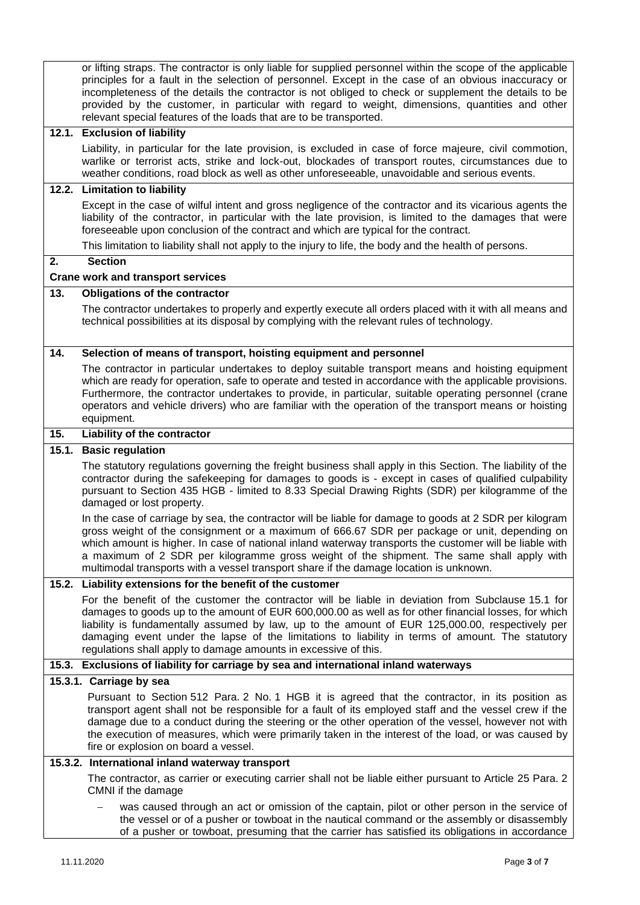|       | or lifting straps. The contractor is only liable for supplied personnel within the scope of the applicable<br>principles for a fault in the selection of personnel. Except in the case of an obvious inaccuracy or<br>incompleteness of the details the contractor is not obliged to check or supplement the details to be<br>provided by the customer, in particular with regard to weight, dimensions, quantities and other<br>relevant special features of the loads that are to be transported.       |
|-------|-----------------------------------------------------------------------------------------------------------------------------------------------------------------------------------------------------------------------------------------------------------------------------------------------------------------------------------------------------------------------------------------------------------------------------------------------------------------------------------------------------------|
|       | 12.1. Exclusion of liability                                                                                                                                                                                                                                                                                                                                                                                                                                                                              |
|       | Liability, in particular for the late provision, is excluded in case of force majeure, civil commotion,<br>warlike or terrorist acts, strike and lock-out, blockades of transport routes, circumstances due to<br>weather conditions, road block as well as other unforeseeable, unavoidable and serious events.                                                                                                                                                                                          |
|       | 12.2. Limitation to liability                                                                                                                                                                                                                                                                                                                                                                                                                                                                             |
|       | Except in the case of wilful intent and gross negligence of the contractor and its vicarious agents the<br>liability of the contractor, in particular with the late provision, is limited to the damages that were<br>foreseeable upon conclusion of the contract and which are typical for the contract.                                                                                                                                                                                                 |
|       | This limitation to liability shall not apply to the injury to life, the body and the health of persons.                                                                                                                                                                                                                                                                                                                                                                                                   |
| 2.    | <b>Section</b>                                                                                                                                                                                                                                                                                                                                                                                                                                                                                            |
|       | <b>Crane work and transport services</b>                                                                                                                                                                                                                                                                                                                                                                                                                                                                  |
| 13.   | <b>Obligations of the contractor</b>                                                                                                                                                                                                                                                                                                                                                                                                                                                                      |
|       | The contractor undertakes to properly and expertly execute all orders placed with it with all means and<br>technical possibilities at its disposal by complying with the relevant rules of technology.                                                                                                                                                                                                                                                                                                    |
| 14.   | Selection of means of transport, hoisting equipment and personnel                                                                                                                                                                                                                                                                                                                                                                                                                                         |
|       | The contractor in particular undertakes to deploy suitable transport means and hoisting equipment<br>which are ready for operation, safe to operate and tested in accordance with the applicable provisions.<br>Furthermore, the contractor undertakes to provide, in particular, suitable operating personnel (crane<br>operators and vehicle drivers) who are familiar with the operation of the transport means or hoisting<br>equipment.                                                              |
| 15.   | Liability of the contractor                                                                                                                                                                                                                                                                                                                                                                                                                                                                               |
| 15.1. | <b>Basic regulation</b>                                                                                                                                                                                                                                                                                                                                                                                                                                                                                   |
|       | The statutory regulations governing the freight business shall apply in this Section. The liability of the<br>contractor during the safekeeping for damages to goods is - except in cases of qualified culpability<br>pursuant to Section 435 HGB - limited to 8.33 Special Drawing Rights (SDR) per kilogramme of the<br>damaged or lost property.                                                                                                                                                       |
|       |                                                                                                                                                                                                                                                                                                                                                                                                                                                                                                           |
|       | In the case of carriage by sea, the contractor will be liable for damage to goods at 2 SDR per kilogram<br>gross weight of the consignment or a maximum of 666.67 SDR per package or unit, depending on<br>which amount is higher. In case of national inland waterway transports the customer will be liable with<br>a maximum of 2 SDR per kilogramme gross weight of the shipment. The same shall apply with<br>multimodal transports with a vessel transport share if the damage location is unknown. |
|       | 15.2. Liability extensions for the benefit of the customer                                                                                                                                                                                                                                                                                                                                                                                                                                                |
|       | For the benefit of the customer the contractor will be liable in deviation from Subclause 15.1 for<br>damages to goods up to the amount of EUR 600,000.00 as well as for other financial losses, for which<br>liability is fundamentally assumed by law, up to the amount of EUR 125,000.00, respectively per<br>damaging event under the lapse of the limitations to liability in terms of amount. The statutory<br>regulations shall apply to damage amounts in excessive of this.                      |
|       | 15.3. Exclusions of liability for carriage by sea and international inland waterways                                                                                                                                                                                                                                                                                                                                                                                                                      |
|       | 15.3.1. Carriage by sea                                                                                                                                                                                                                                                                                                                                                                                                                                                                                   |
|       | Pursuant to Section 512 Para. 2 No. 1 HGB it is agreed that the contractor, in its position as<br>transport agent shall not be responsible for a fault of its employed staff and the vessel crew if the<br>damage due to a conduct during the steering or the other operation of the vessel, however not with<br>the execution of measures, which were primarily taken in the interest of the load, or was caused by<br>fire or explosion on board a vessel.                                              |
|       | 15.3.2. International inland waterway transport                                                                                                                                                                                                                                                                                                                                                                                                                                                           |
|       | The contractor, as carrier or executing carrier shall not be liable either pursuant to Article 25 Para. 2<br>CMNI if the damage<br>was caused through an act or omission of the captain, pilot or other person in the service of                                                                                                                                                                                                                                                                          |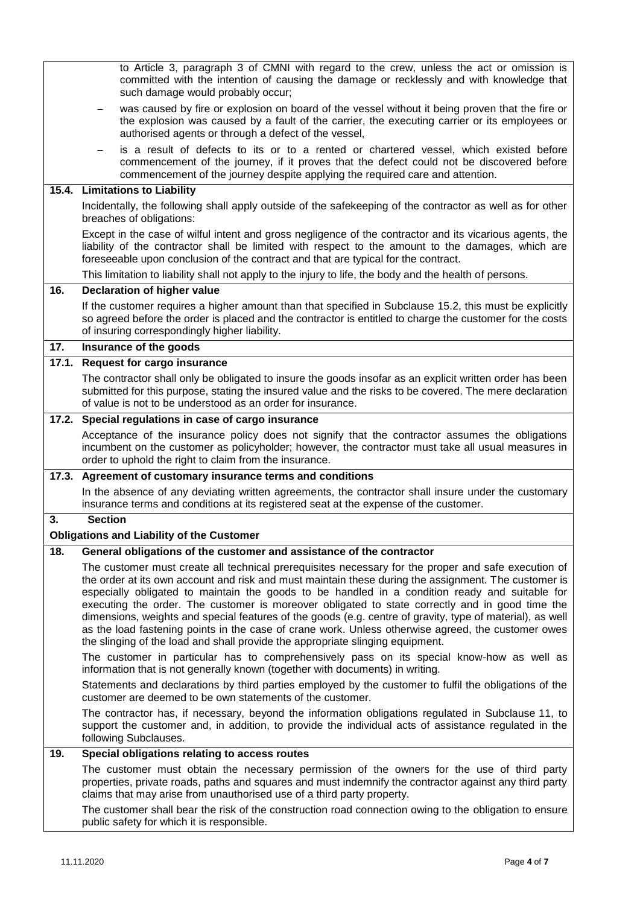|       | to Article 3, paragraph 3 of CMNI with regard to the crew, unless the act or omission is<br>committed with the intention of causing the damage or recklessly and with knowledge that<br>such damage would probably occur;                                                                                                                                                                                                                                                                                                                                                                                                                                                                                             |
|-------|-----------------------------------------------------------------------------------------------------------------------------------------------------------------------------------------------------------------------------------------------------------------------------------------------------------------------------------------------------------------------------------------------------------------------------------------------------------------------------------------------------------------------------------------------------------------------------------------------------------------------------------------------------------------------------------------------------------------------|
|       | was caused by fire or explosion on board of the vessel without it being proven that the fire or<br>the explosion was caused by a fault of the carrier, the executing carrier or its employees or<br>authorised agents or through a defect of the vessel,                                                                                                                                                                                                                                                                                                                                                                                                                                                              |
|       | is a result of defects to its or to a rented or chartered vessel, which existed before<br>$\qquad \qquad -$<br>commencement of the journey, if it proves that the defect could not be discovered before<br>commencement of the journey despite applying the required care and attention.                                                                                                                                                                                                                                                                                                                                                                                                                              |
|       | 15.4. Limitations to Liability                                                                                                                                                                                                                                                                                                                                                                                                                                                                                                                                                                                                                                                                                        |
|       | Incidentally, the following shall apply outside of the safekeeping of the contractor as well as for other<br>breaches of obligations:                                                                                                                                                                                                                                                                                                                                                                                                                                                                                                                                                                                 |
|       | Except in the case of wilful intent and gross negligence of the contractor and its vicarious agents, the<br>liability of the contractor shall be limited with respect to the amount to the damages, which are<br>foreseeable upon conclusion of the contract and that are typical for the contract.                                                                                                                                                                                                                                                                                                                                                                                                                   |
|       | This limitation to liability shall not apply to the injury to life, the body and the health of persons.                                                                                                                                                                                                                                                                                                                                                                                                                                                                                                                                                                                                               |
| 16.   | <b>Declaration of higher value</b>                                                                                                                                                                                                                                                                                                                                                                                                                                                                                                                                                                                                                                                                                    |
|       | If the customer requires a higher amount than that specified in Subclause 15.2, this must be explicitly<br>so agreed before the order is placed and the contractor is entitled to charge the customer for the costs<br>of insuring correspondingly higher liability.                                                                                                                                                                                                                                                                                                                                                                                                                                                  |
| 17.   | Insurance of the goods                                                                                                                                                                                                                                                                                                                                                                                                                                                                                                                                                                                                                                                                                                |
| 17.1. | <b>Request for cargo insurance</b>                                                                                                                                                                                                                                                                                                                                                                                                                                                                                                                                                                                                                                                                                    |
|       | The contractor shall only be obligated to insure the goods insofar as an explicit written order has been<br>submitted for this purpose, stating the insured value and the risks to be covered. The mere declaration<br>of value is not to be understood as an order for insurance.                                                                                                                                                                                                                                                                                                                                                                                                                                    |
|       | 17.2. Special regulations in case of cargo insurance                                                                                                                                                                                                                                                                                                                                                                                                                                                                                                                                                                                                                                                                  |
|       | Acceptance of the insurance policy does not signify that the contractor assumes the obligations<br>incumbent on the customer as policyholder; however, the contractor must take all usual measures in<br>order to uphold the right to claim from the insurance.                                                                                                                                                                                                                                                                                                                                                                                                                                                       |
|       | 17.3. Agreement of customary insurance terms and conditions                                                                                                                                                                                                                                                                                                                                                                                                                                                                                                                                                                                                                                                           |
|       | In the absence of any deviating written agreements, the contractor shall insure under the customary<br>insurance terms and conditions at its registered seat at the expense of the customer.                                                                                                                                                                                                                                                                                                                                                                                                                                                                                                                          |
| 3.    | <b>Section</b><br><b>Obligations and Liability of the Customer</b>                                                                                                                                                                                                                                                                                                                                                                                                                                                                                                                                                                                                                                                    |
| 18.   | General obligations of the customer and assistance of the contractor                                                                                                                                                                                                                                                                                                                                                                                                                                                                                                                                                                                                                                                  |
|       | The customer must create all technical prerequisites necessary for the proper and safe execution of<br>the order at its own account and risk and must maintain these during the assignment. The customer is<br>especially obligated to maintain the goods to be handled in a condition ready and suitable for<br>executing the order. The customer is moreover obligated to state correctly and in good time the<br>dimensions, weights and special features of the goods (e.g. centre of gravity, type of material), as well<br>as the load fastening points in the case of crane work. Unless otherwise agreed, the customer owes<br>the slinging of the load and shall provide the appropriate slinging equipment. |
|       | The customer in particular has to comprehensively pass on its special know-how as well as<br>information that is not generally known (together with documents) in writing.                                                                                                                                                                                                                                                                                                                                                                                                                                                                                                                                            |
|       | Statements and declarations by third parties employed by the customer to fulfil the obligations of the<br>customer are deemed to be own statements of the customer.                                                                                                                                                                                                                                                                                                                                                                                                                                                                                                                                                   |
|       | The contractor has, if necessary, beyond the information obligations regulated in Subclause 11, to<br>support the customer and, in addition, to provide the individual acts of assistance regulated in the<br>following Subclauses.                                                                                                                                                                                                                                                                                                                                                                                                                                                                                   |
| 19.   | Special obligations relating to access routes                                                                                                                                                                                                                                                                                                                                                                                                                                                                                                                                                                                                                                                                         |
|       | The customer must obtain the necessary permission of the owners for the use of third party<br>properties, private roads, paths and squares and must indemnify the contractor against any third party<br>claims that may arise from unauthorised use of a third party property.                                                                                                                                                                                                                                                                                                                                                                                                                                        |
|       | The customer shall bear the risk of the construction road connection owing to the obligation to ensure<br>public safety for which it is responsible.                                                                                                                                                                                                                                                                                                                                                                                                                                                                                                                                                                  |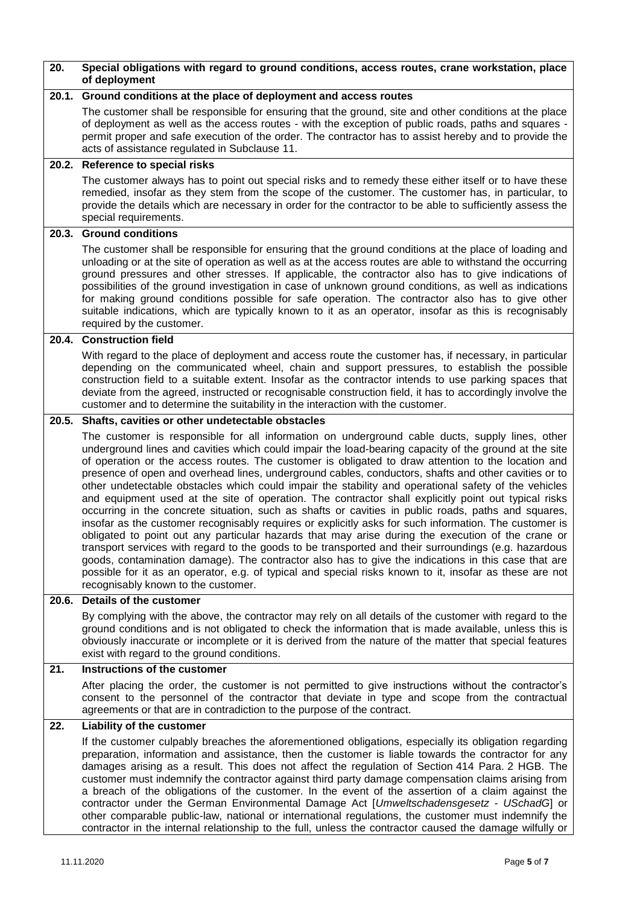| 20.   | Special obligations with regard to ground conditions, access routes, crane workstation, place<br>of deployment                                                                                                                                                                                                                                                                                                                                                                                                                                                                                                                                                                                                                                                                                                                                                                                                                                                                                                                                                                                                                                                                                                                                                                                                                |
|-------|-------------------------------------------------------------------------------------------------------------------------------------------------------------------------------------------------------------------------------------------------------------------------------------------------------------------------------------------------------------------------------------------------------------------------------------------------------------------------------------------------------------------------------------------------------------------------------------------------------------------------------------------------------------------------------------------------------------------------------------------------------------------------------------------------------------------------------------------------------------------------------------------------------------------------------------------------------------------------------------------------------------------------------------------------------------------------------------------------------------------------------------------------------------------------------------------------------------------------------------------------------------------------------------------------------------------------------|
| 20.1. | Ground conditions at the place of deployment and access routes                                                                                                                                                                                                                                                                                                                                                                                                                                                                                                                                                                                                                                                                                                                                                                                                                                                                                                                                                                                                                                                                                                                                                                                                                                                                |
|       | The customer shall be responsible for ensuring that the ground, site and other conditions at the place<br>of deployment as well as the access routes - with the exception of public roads, paths and squares -<br>permit proper and safe execution of the order. The contractor has to assist hereby and to provide the<br>acts of assistance regulated in Subclause 11.                                                                                                                                                                                                                                                                                                                                                                                                                                                                                                                                                                                                                                                                                                                                                                                                                                                                                                                                                      |
|       | 20.2. Reference to special risks                                                                                                                                                                                                                                                                                                                                                                                                                                                                                                                                                                                                                                                                                                                                                                                                                                                                                                                                                                                                                                                                                                                                                                                                                                                                                              |
|       | The customer always has to point out special risks and to remedy these either itself or to have these<br>remedied, insofar as they stem from the scope of the customer. The customer has, in particular, to<br>provide the details which are necessary in order for the contractor to be able to sufficiently assess the<br>special requirements.                                                                                                                                                                                                                                                                                                                                                                                                                                                                                                                                                                                                                                                                                                                                                                                                                                                                                                                                                                             |
| 20.3. | <b>Ground conditions</b>                                                                                                                                                                                                                                                                                                                                                                                                                                                                                                                                                                                                                                                                                                                                                                                                                                                                                                                                                                                                                                                                                                                                                                                                                                                                                                      |
|       | The customer shall be responsible for ensuring that the ground conditions at the place of loading and<br>unloading or at the site of operation as well as at the access routes are able to withstand the occurring<br>ground pressures and other stresses. If applicable, the contractor also has to give indications of<br>possibilities of the ground investigation in case of unknown ground conditions, as well as indications<br>for making ground conditions possible for safe operation. The contractor also has to give other<br>suitable indications, which are typically known to it as an operator, insofar as this is recognisably<br>required by the customer.                                                                                                                                                                                                                                                                                                                                                                                                                                                                                                                                                                                                                                                   |
|       | 20.4. Construction field                                                                                                                                                                                                                                                                                                                                                                                                                                                                                                                                                                                                                                                                                                                                                                                                                                                                                                                                                                                                                                                                                                                                                                                                                                                                                                      |
|       | With regard to the place of deployment and access route the customer has, if necessary, in particular<br>depending on the communicated wheel, chain and support pressures, to establish the possible<br>construction field to a suitable extent. Insofar as the contractor intends to use parking spaces that<br>deviate from the agreed, instructed or recognisable construction field, it has to accordingly involve the<br>customer and to determine the suitability in the interaction with the customer.                                                                                                                                                                                                                                                                                                                                                                                                                                                                                                                                                                                                                                                                                                                                                                                                                 |
|       | 20.5. Shafts, cavities or other undetectable obstacles                                                                                                                                                                                                                                                                                                                                                                                                                                                                                                                                                                                                                                                                                                                                                                                                                                                                                                                                                                                                                                                                                                                                                                                                                                                                        |
|       | The customer is responsible for all information on underground cable ducts, supply lines, other<br>underground lines and cavities which could impair the load-bearing capacity of the ground at the site<br>of operation or the access routes. The customer is obligated to draw attention to the location and<br>presence of open and overhead lines, underground cables, conductors, shafts and other cavities or to<br>other undetectable obstacles which could impair the stability and operational safety of the vehicles<br>and equipment used at the site of operation. The contractor shall explicitly point out typical risks<br>occurring in the concrete situation, such as shafts or cavities in public roads, paths and squares,<br>insofar as the customer recognisably requires or explicitly asks for such information. The customer is<br>obligated to point out any particular hazards that may arise during the execution of the crane or<br>transport services with regard to the goods to be transported and their surroundings (e.g. hazardous<br>goods, contamination damage). The contractor also has to give the indications in this case that are<br>possible for it as an operator, e.g. of typical and special risks known to it, insofar as these are not<br>recognisably known to the customer. |
| 20.6. | Details of the customer                                                                                                                                                                                                                                                                                                                                                                                                                                                                                                                                                                                                                                                                                                                                                                                                                                                                                                                                                                                                                                                                                                                                                                                                                                                                                                       |
|       | By complying with the above, the contractor may rely on all details of the customer with regard to the<br>ground conditions and is not obligated to check the information that is made available, unless this is<br>obviously inaccurate or incomplete or it is derived from the nature of the matter that special features<br>exist with regard to the ground conditions.                                                                                                                                                                                                                                                                                                                                                                                                                                                                                                                                                                                                                                                                                                                                                                                                                                                                                                                                                    |
| 21.   | Instructions of the customer                                                                                                                                                                                                                                                                                                                                                                                                                                                                                                                                                                                                                                                                                                                                                                                                                                                                                                                                                                                                                                                                                                                                                                                                                                                                                                  |
|       | After placing the order, the customer is not permitted to give instructions without the contractor's<br>consent to the personnel of the contractor that deviate in type and scope from the contractual<br>agreements or that are in contradiction to the purpose of the contract.                                                                                                                                                                                                                                                                                                                                                                                                                                                                                                                                                                                                                                                                                                                                                                                                                                                                                                                                                                                                                                             |
| 22.   | Liability of the customer                                                                                                                                                                                                                                                                                                                                                                                                                                                                                                                                                                                                                                                                                                                                                                                                                                                                                                                                                                                                                                                                                                                                                                                                                                                                                                     |
|       | If the customer culpably breaches the aforementioned obligations, especially its obligation regarding<br>preparation, information and assistance, then the customer is liable towards the contractor for any<br>damages arising as a result. This does not affect the regulation of Section 414 Para. 2 HGB. The<br>customer must indemnify the contractor against third party damage compensation claims arising from<br>a breach of the obligations of the customer. In the event of the assertion of a claim against the<br>contractor under the German Environmental Damage Act [Umweltschadensgesetz - USchadG] or<br>other comparable public-law, national or international regulations, the customer must indemnify the<br>contractor in the internal relationship to the full, unless the contractor caused the damage wilfully or                                                                                                                                                                                                                                                                                                                                                                                                                                                                                    |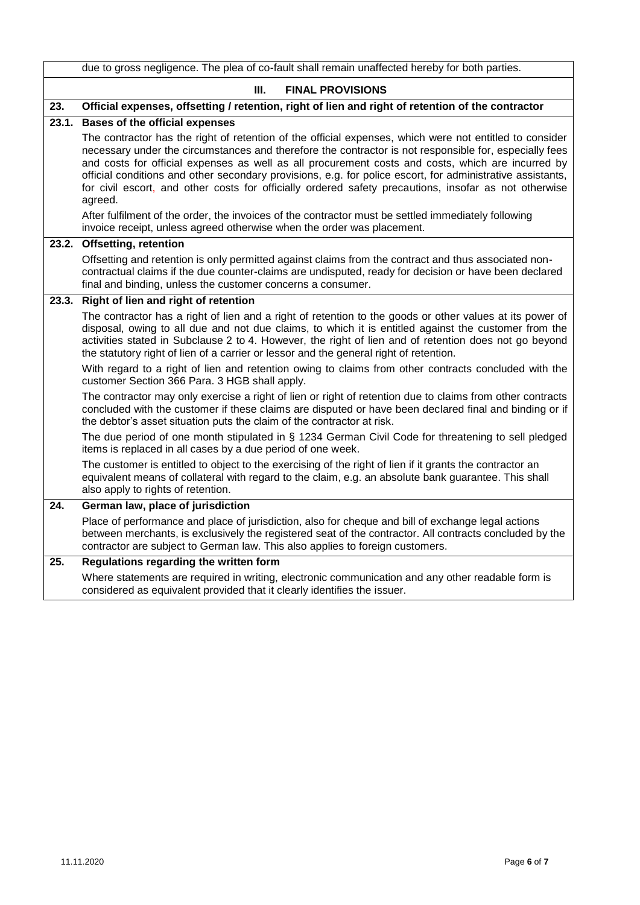|       | due to gross negligence. The plea of co-fault shall remain unaffected hereby for both parties.                                                                                                                                                                                                                                                                                                                                                                                |
|-------|-------------------------------------------------------------------------------------------------------------------------------------------------------------------------------------------------------------------------------------------------------------------------------------------------------------------------------------------------------------------------------------------------------------------------------------------------------------------------------|
|       | III.<br><b>FINAL PROVISIONS</b>                                                                                                                                                                                                                                                                                                                                                                                                                                               |
| 23.   | Official expenses, offsetting / retention, right of lien and right of retention of the contractor                                                                                                                                                                                                                                                                                                                                                                             |
| 23.1. | <b>Bases of the official expenses</b><br>The contractor has the right of retention of the official expenses, which were not entitled to consider<br>necessary under the circumstances and therefore the contractor is not responsible for, especially fees<br>and costs for official expenses as well as all procurement costs and costs, which are incurred by<br>official conditions and other secondary provisions, e.g. for police escort, for administrative assistants, |
|       | for civil escort, and other costs for officially ordered safety precautions, insofar as not otherwise<br>agreed.<br>After fulfilment of the order, the invoices of the contractor must be settled immediately following<br>invoice receipt, unless agreed otherwise when the order was placement.                                                                                                                                                                             |
|       | 23.2. Offsetting, retention                                                                                                                                                                                                                                                                                                                                                                                                                                                   |
|       | Offsetting and retention is only permitted against claims from the contract and thus associated non-<br>contractual claims if the due counter-claims are undisputed, ready for decision or have been declared<br>final and binding, unless the customer concerns a consumer.                                                                                                                                                                                                  |
| 23.3. | Right of lien and right of retention                                                                                                                                                                                                                                                                                                                                                                                                                                          |
|       | The contractor has a right of lien and a right of retention to the goods or other values at its power of<br>disposal, owing to all due and not due claims, to which it is entitled against the customer from the<br>activities stated in Subclause 2 to 4. However, the right of lien and of retention does not go beyond<br>the statutory right of lien of a carrier or lessor and the general right of retention.                                                           |
|       | With regard to a right of lien and retention owing to claims from other contracts concluded with the<br>customer Section 366 Para. 3 HGB shall apply.                                                                                                                                                                                                                                                                                                                         |
|       | The contractor may only exercise a right of lien or right of retention due to claims from other contracts<br>concluded with the customer if these claims are disputed or have been declared final and binding or if<br>the debtor's asset situation puts the claim of the contractor at risk.                                                                                                                                                                                 |
|       | The due period of one month stipulated in § 1234 German Civil Code for threatening to sell pledged<br>items is replaced in all cases by a due period of one week.                                                                                                                                                                                                                                                                                                             |
|       | The customer is entitled to object to the exercising of the right of lien if it grants the contractor an<br>equivalent means of collateral with regard to the claim, e.g. an absolute bank guarantee. This shall<br>also apply to rights of retention.                                                                                                                                                                                                                        |
| 24.   | German law, place of jurisdiction                                                                                                                                                                                                                                                                                                                                                                                                                                             |
|       | Place of performance and place of jurisdiction, also for cheque and bill of exchange legal actions<br>between merchants, is exclusively the registered seat of the contractor. All contracts concluded by the<br>contractor are subject to German law. This also applies to foreign customers.                                                                                                                                                                                |
| 25.   | Regulations regarding the written form                                                                                                                                                                                                                                                                                                                                                                                                                                        |
|       | Where statements are required in writing, electronic communication and any other readable form is<br>considered as equivalent provided that it clearly identifies the issuer.                                                                                                                                                                                                                                                                                                 |